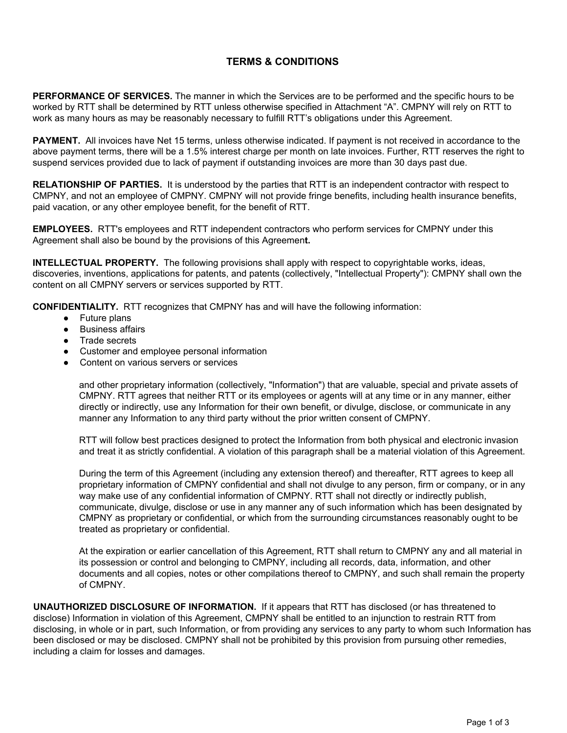## **TERMS & CONDITIONS**

**PERFORMANCE OF SERVICES.** The manner in which the Services are to be performed and the specific hours to be worked by RTT shall be determined by RTT unless otherwise specified in Attachment "A". CMPNY will rely on RTT to work as many hours as may be reasonably necessary to fulfill RTT's obligations under this Agreement.

**PAYMENT.** All invoices have Net 15 terms, unless otherwise indicated. If payment is not received in accordance to the above payment terms, there will be a 1.5% interest charge per month on late invoices. Further, RTT reserves the right to suspend services provided due to lack of payment if outstanding invoices are more than 30 days past due.

**RELATIONSHIP OF PARTIES.** It is understood by the parties that RTT is an independent contractor with respect to CMPNY, and not an employee of CMPNY. CMPNY will not provide fringe benefits, including health insurance benefits, paid vacation, or any other employee benefit, for the benefit of RTT.

**EMPLOYEES.** RTT's employees and RTT independent contractors who perform services for CMPNY under this Agreement shall also be bound by the provisions of this Agreemen**t.**

**INTELLECTUAL PROPERTY.** The following provisions shall apply with respect to copyrightable works, ideas, discoveries, inventions, applications for patents, and patents (collectively, "Intellectual Property"): CMPNY shall own the content on all CMPNY servers or services supported by RTT.

**CONFIDENTIALITY.** RTT recognizes that CMPNY has and will have the following information:

- **●** Future plans
- **●** Business affairs
- **●** Trade secrets
- **●** Customer and employee personal information
- **●** Content on various servers or services

and other proprietary information (collectively, "Information") that are valuable, special and private assets of CMPNY. RTT agrees that neither RTT or its employees or agents will at any time or in any manner, either directly or indirectly, use any Information for their own benefit, or divulge, disclose, or communicate in any manner any Information to any third party without the prior written consent of CMPNY.

RTT will follow best practices designed to protect the Information from both physical and electronic invasion and treat it as strictly confidential. A violation of this paragraph shall be a material violation of this Agreement.

During the term of this Agreement (including any extension thereof) and thereafter, RTT agrees to keep all proprietary information of CMPNY confidential and shall not divulge to any person, firm or company, or in any way make use of any confidential information of CMPNY. RTT shall not directly or indirectly publish, communicate, divulge, disclose or use in any manner any of such information which has been designated by CMPNY as proprietary or confidential, or which from the surrounding circumstances reasonably ought to be treated as proprietary or confidential.

At the expiration or earlier cancellation of this Agreement, RTT shall return to CMPNY any and all material in its possession or control and belonging to CMPNY, including all records, data, information, and other documents and all copies, notes or other compilations thereof to CMPNY, and such shall remain the property of CMPNY.

**UNAUTHORIZED DISCLOSURE OF INFORMATION.** If it appears that RTT has disclosed (or has threatened to disclose) Information in violation of this Agreement, CMPNY shall be entitled to an injunction to restrain RTT from disclosing, in whole or in part, such Information, or from providing any services to any party to whom such Information has been disclosed or may be disclosed. CMPNY shall not be prohibited by this provision from pursuing other remedies, including a claim for losses and damages.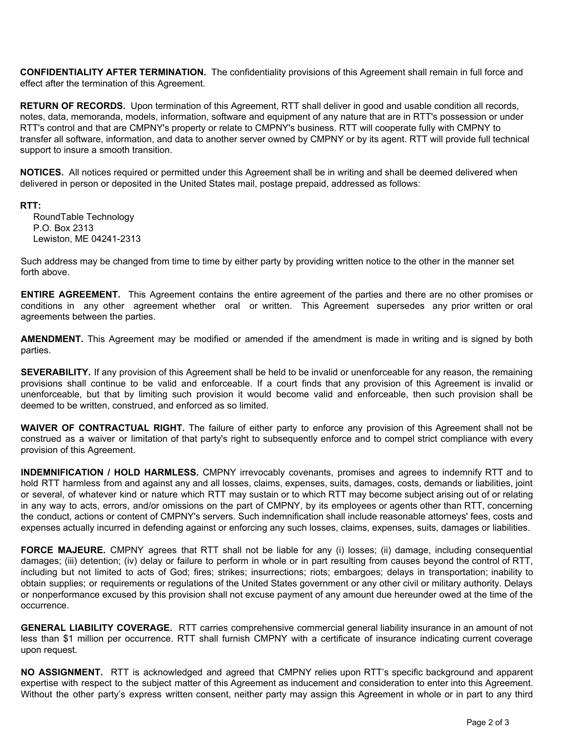**CONFIDENTIALITY AFTER TERMINATION.** The confidentiality provisions of this Agreement shall remain in full force and effect after the termination of this Agreement.

**RETURN OF RECORDS.** Upon termination of this Agreement, RTT shall deliver in good and usable condition all records, notes, data, memoranda, models, information, software and equipment of any nature that are in RTT's possession or under RTT's control and that are CMPNY's property or relate to CMPNY's business. RTT will cooperate fully with CMPNY to transfer all software, information, and data to another server owned by CMPNY or by its agent. RTT will provide full technical support to insure a smooth transition.

**NOTICES.** All notices required or permitted under this Agreement shall be in writing and shall be deemed delivered when delivered in person or deposited in the United States mail, postage prepaid, addressed as follows:

**RTT:**

RoundTable Technology P.O. Box 2313 Lewiston, ME 04241-2313

Such address may be changed from time to time by either party by providing written notice to the other in the manner set forth above.

**ENTIRE AGREEMENT.** This Agreement contains the entire agreement of the parties and there are no other promises or conditions in any other agreement whether oral or written. This Agreement supersedes any prior written or oral agreements between the parties.

**AMENDMENT.** This Agreement may be modified or amended if the amendment is made in writing and is signed by both parties.

**SEVERABILITY.** If any provision of this Agreement shall be held to be invalid or unenforceable for any reason, the remaining provisions shall continue to be valid and enforceable. If a court finds that any provision of this Agreement is invalid or unenforceable, but that by limiting such provision it would become valid and enforceable, then such provision shall be deemed to be written, construed, and enforced as so limited.

**WAIVER OF CONTRACTUAL RIGHT.** The failure of either party to enforce any provision of this Agreement shall not be construed as a waiver or limitation of that party's right to subsequently enforce and to compel strict compliance with every provision of this Agreement.

**INDEMNIFICATION / HOLD HARMLESS.** CMPNY irrevocably covenants, promises and agrees to indemnify RTT and to hold RTT harmless from and against any and all losses, claims, expenses, suits, damages, costs, demands or liabilities, joint or several, of whatever kind or nature which RTT may sustain or to which RTT may become subject arising out of or relating in any way to acts, errors, and/or omissions on the part of CMPNY, by its employees or agents other than RTT, concerning the conduct, actions or content of CMPNY's servers. Such indemnification shall include reasonable attorneys' fees, costs and expenses actually incurred in defending against or enforcing any such losses, claims, expenses, suits, damages or liabilities.

**FORCE MAJEURE.** CMPNY agrees that RTT shall not be liable for any (i) losses; (ii) damage, including consequential damages; (iii) detention; (iv) delay or failure to perform in whole or in part resulting from causes beyond the control of RTT, including but not limited to acts of God; fires; strikes; insurrections; riots; embargoes; delays in transportation; inability to obtain supplies; or requirements or regulations of the United States government or any other civil or military authority. Delays or nonperformance excused by this provision shall not excuse payment of any amount due hereunder owed at the time of the occurrence.

**GENERAL LIABILITY COVERAGE.** RTT carries comprehensive commercial general liability insurance in an amount of not less than \$1 million per occurrence. RTT shall furnish CMPNY with a certificate of insurance indicating current coverage upon request.

**NO ASSIGNMENT.** RTT is acknowledged and agreed that CMPNY relies upon RTT's specific background and apparent expertise with respect to the subject matter of this Agreement as inducement and consideration to enter into this Agreement. Without the other party's express written consent, neither party may assign this Agreement in whole or in part to any third